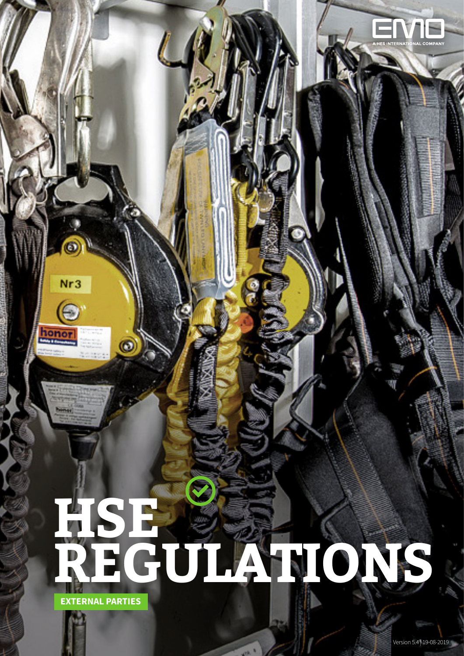# **EXTERNAL PARTIES HSE REGULATIONS**

1EMPT | SAFETY AND ENVIRONMENT EXTERNAL PARTIES

 $Nr3$ 

tone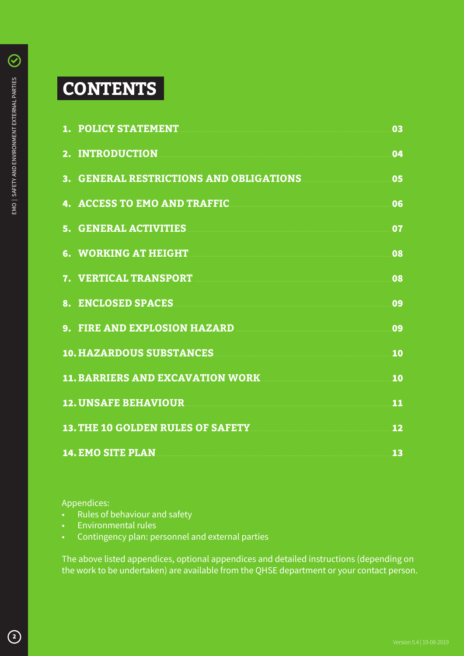## **CONTENTS**

|    | <b>1. POLICY STATEMENT</b>               | 03 |
|----|------------------------------------------|----|
|    | 2. INTRODUCTION                          | 04 |
|    | 3. GENERAL RESTRICTIONS AND OBLIGATIONS  | 05 |
|    | <b>ACCESS TO EMO AND TRAFFIC</b>         | 06 |
|    | 5. GENERAL ACTIVITIES                    | 07 |
|    | 6. WORKING AT HEIGHT                     | 08 |
|    | 7. VERTICAL TRANSPORT                    | 08 |
| 8. | <b>ENCLOSED SPACES</b>                   | 09 |
|    | 9. FIRE AND EXPLOSION HAZARD             | 09 |
|    | <b>10. HAZARDOUS SUBSTANCES</b>          | 10 |
|    | <b>11. BARRIERS AND EXCAVATION WORK</b>  | 10 |
|    | <b>12. UNSAFE BEHAVIOUR</b>              | 11 |
|    | <b>13. THE 10 GOLDEN RULES OF SAFETY</b> | 12 |
|    | <b>14. EMO SITE PLAN</b>                 | 13 |

Appendices:

- Rules of behaviour and safety
- **Environmental rules**
- Contingency plan: personnel and external parties

The above listed appendices, optional appendices and detailed instructions (depending on the work to be undertaken) are available from the QHSE department or your contact person.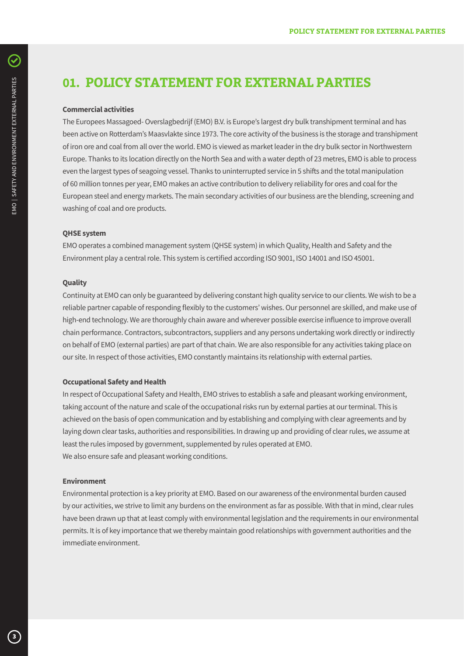### **01. POLICY STATEMENT FOR EXTERNAL PARTIES**

#### **Commercial activities**

The Europees Massagoed- Overslagbedrijf (EMO) B.V. is Europe's largest dry bulk transhipment terminal and has been active on Rotterdam's Maasvlakte since 1973. The core activity of the business is the storage and transhipment of iron ore and coal from all over the world. EMO is viewed as market leader in the dry bulk sector in Northwestern Europe. Thanks to its location directly on the North Sea and with a water depth of 23 metres, EMO is able to process even the largest types of seagoing vessel. Thanks to uninterrupted service in 5 shifts and the total manipulation of 60 million tonnes per year, EMO makes an active contribution to delivery reliability for ores and coal for the European steel and energy markets. The main secondary activities of our business are the blending, screening and washing of coal and ore products.

#### **QHSE system**

EMO operates a combined management system (QHSE system) in which Quality, Health and Safety and the Environment play a central role. This system is certified according ISO 9001, ISO 14001 and ISO 45001.

#### **Quality**

Continuity at EMO can only be guaranteed by delivering constant high quality service to our clients. We wish to be a reliable partner capable of responding flexibly to the customers' wishes. Our personnel are skilled, and make use of high-end technology. We are thoroughly chain aware and wherever possible exercise influence to improve overall chain performance. Contractors, subcontractors, suppliers and any persons undertaking work directly or indirectly on behalf of EMO (external parties) are part of that chain. We are also responsible for any activities taking place on our site. In respect of those activities, EMO constantly maintains its relationship with external parties.

#### **Occupational Safety and Health**

In respect of Occupational Safety and Health, EMO strives to establish a safe and pleasant working environment, taking account of the nature and scale of the occupational risks run by external parties at our terminal. This is achieved on the basis of open communication and by establishing and complying with clear agreements and by laying down clear tasks, authorities and responsibilities. In drawing up and providing of clear rules, we assume at least the rules imposed by government, supplemented by rules operated at EMO. We also ensure safe and pleasant working conditions.

#### **Environment**

Environmental protection is a key priority at EMO. Based on our awareness of the environmental burden caused by our activities, we strive to limit any burdens on the environment as far as possible. With that in mind, clear rules have been drawn up that at least comply with environmental legislation and the requirements in our environmental permits. It is of key importance that we thereby maintain good relationships with government authorities and the immediate environment.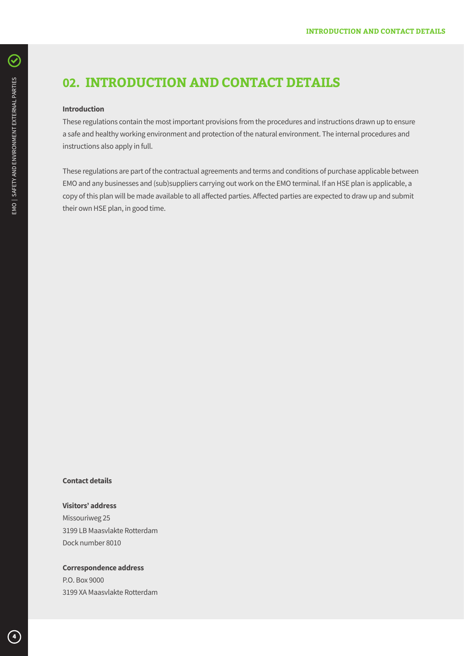## **02. INTRODUCTION AND CONTACT DETAILS**

#### **Introduction**

These regulations contain the most important provisions from the procedures and instructions drawn up to ensure a safe and healthy working environment and protection of the natural environment. The internal procedures and instructions also apply in full.

These regulations are part of the contractual agreements and terms and conditions of purchase applicable between EMO and any businesses and (sub)suppliers carrying out work on the EMO terminal. If an HSE plan is applicable, a copy of this plan will be made available to all affected parties. Affected parties are expected to draw up and submit their own HSE plan, in good time.

#### **Contact details**

#### **Visitors' address**

Missouriweg 25 3199 LB Maasvlakte Rotterdam Dock number 8010

#### **Correspondence address**

P.O. Box 9000 3199 XA Maasvlakte Rotterdam

 $\mathcal{\mathcal{C}}$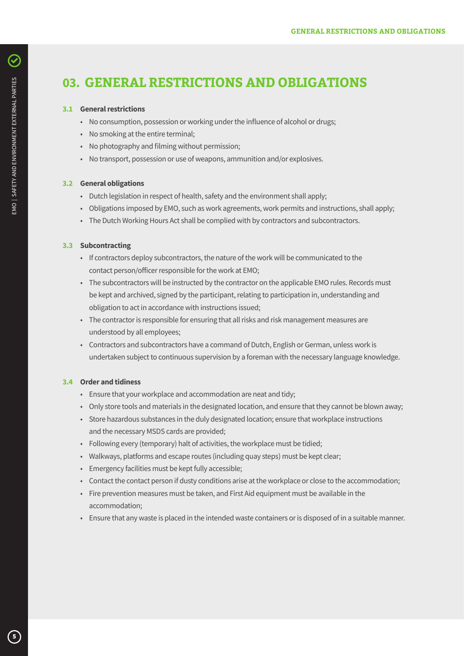## **03. GENERAL RESTRICTIONS AND OBLIGATIONS**

#### **3.1 General restrictions**

- No consumption, possession or working under the influence of alcohol or drugs;
- No smoking at the entire terminal;
- No photography and filming without permission;
- No transport, possession or use of weapons, ammunition and/or explosives.

#### **3.2 General obligations**

- Dutch legislation in respect of health, safety and the environment shall apply;
- Obligations imposed by EMO, such as work agreements, work permits and instructions, shall apply;
- The Dutch Working Hours Act shall be complied with by contractors and subcontractors.

#### **3.3 Subcontracting**

- If contractors deploy subcontractors, the nature of the work will be communicated to the contact person/officer responsible for the work at EMO;
- The subcontractors will be instructed by the contractor on the applicable EMO rules. Records must be kept and archived, signed by the participant, relating to participation in, understanding and obligation to act in accordance with instructions issued;
- The contractor is responsible for ensuring that all risks and risk management measures are understood by all employees;
- Contractors and subcontractors have a command of Dutch, English or German, unless work is undertaken subject to continuous supervision by a foreman with the necessary language knowledge.

#### **3.4 Order and tidiness**

- Ensure that your workplace and accommodation are neat and tidy;
- Only store tools and materials in the designated location, and ensure that they cannot be blown away;
- Store hazardous substances in the duly designated location; ensure that workplace instructions and the necessary MSDS cards are provided;
- Following every (temporary) halt of activities, the workplace must be tidied;
- Walkways, platforms and escape routes (including quay steps) must be kept clear;
- Emergency facilities must be kept fully accessible;
- Contact the contact person if dusty conditions arise at the workplace or close to the accommodation;
- Fire prevention measures must be taken, and First Aid equipment must be available in the accommodation;
- Ensure that any waste is placed in the intended waste containers or is disposed of in a suitable manner.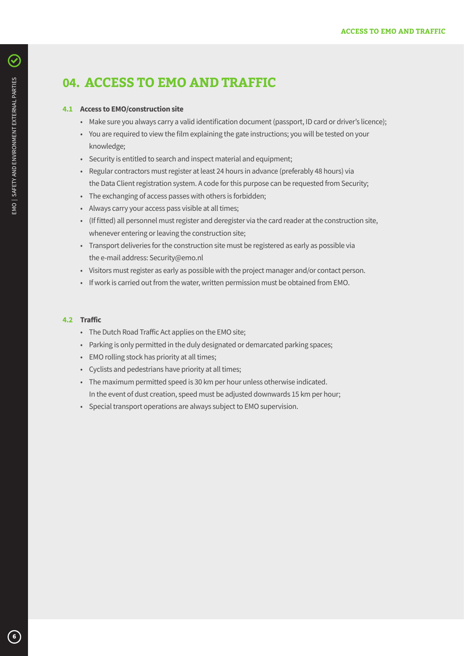## **04. ACCESS TO EMO AND TRAFFIC**

#### **4.1 Access to EMO/construction site**

- Make sure you always carry a valid identification document (passport, ID card or driver's licence);
- You are required to view the film explaining the gate instructions; you will be tested on your knowledge;
- Security is entitled to search and inspect material and equipment;
- Regular contractors must register at least 24 hours in advance (preferably 48 hours) via the Data Client registration system. A code for this purpose can be requested from Security;
- The exchanging of access passes with others is forbidden;
- Always carry your access pass visible at all times;
- (If fitted) all personnel must register and deregister via the card reader at the construction site, whenever entering or leaving the construction site;
- Transport deliveries for the construction site must be registered as early as possible via the e-mail address: Security@emo.nl
- Visitors must register as early as possible with the project manager and/or contact person.
- If work is carried out from the water, written permission must be obtained from EMO.

#### **4.2 Traffic**

- The Dutch Road Traffic Act applies on the EMO site;
- Parking is only permitted in the duly designated or demarcated parking spaces;
- EMO rolling stock has priority at all times;
- Cyclists and pedestrians have priority at all times;
- The maximum permitted speed is 30 km per hour unless otherwise indicated. In the event of dust creation, speed must be adjusted downwards 15 km per hour;
- Special transport operations are always subject to EMO supervision.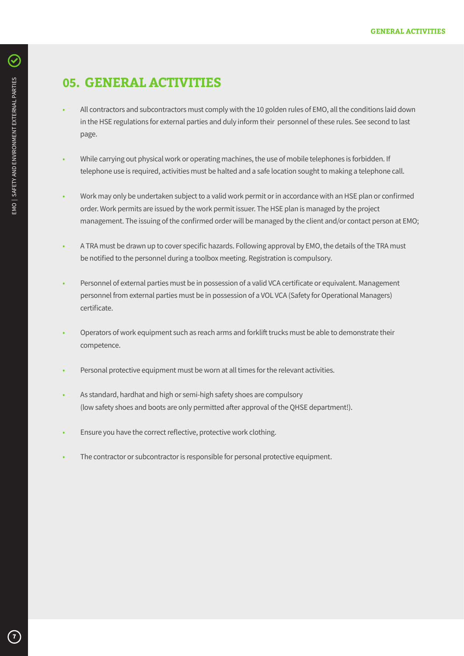## **05. GENERAL ACTIVITIES**

- All contractors and subcontractors must comply with the 10 golden rules of EMO, all the conditions laid down in the HSE regulations for external parties and duly inform their personnel of these rules. See second to last page.
- While carrying out physical work or operating machines, the use of mobile telephones is forbidden. If telephone use is required, activities must be halted and a safe location sought to making a telephone call.
- Work may only be undertaken subject to a valid work permit or in accordance with an HSE plan or confirmed order. Work permits are issued by the work permit issuer. The HSE plan is managed by the project management. The issuing of the confirmed order will be managed by the client and/or contact person at EMO;
- A TRA must be drawn up to cover specific hazards. Following approval by EMO, the details of the TRA must be notified to the personnel during a toolbox meeting. Registration is compulsory.
- Personnel of external parties must be in possession of a valid VCA certificate or equivalent. Management personnel from external parties must be in possession of a VOL VCA (Safety for Operational Managers) certificate.
- Operators of work equipment such as reach arms and forklift trucks must be able to demonstrate their competence.
- Personal protective equipment must be worn at all times for the relevant activities.
- As standard, hardhat and high or semi-high safety shoes are compulsory (low safety shoes and boots are only permitted after approval of the QHSE department!).
- Ensure you have the correct reflective, protective work clothing.
- The contractor or subcontractor is responsible for personal protective equipment.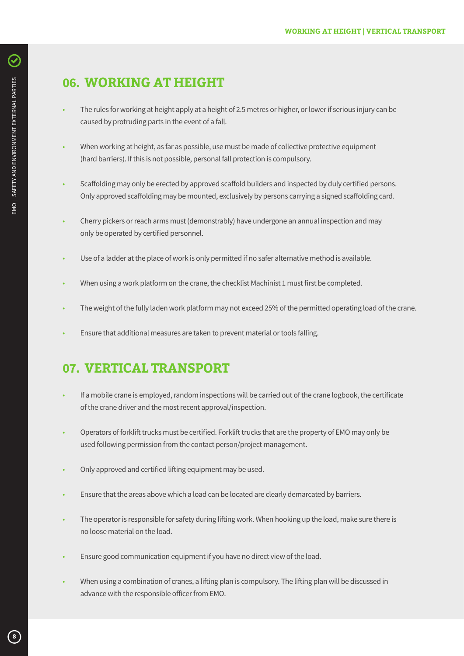## **06. WORKING AT HEIGHT**

- The rules for working at height apply at a height of 2.5 metres or higher, or lower if serious injury can be caused by protruding parts in the event of a fall.
- When working at height, as far as possible, use must be made of collective protective equipment (hard barriers). If this is not possible, personal fall protection is compulsory.
- Scaffolding may only be erected by approved scaffold builders and inspected by duly certified persons. Only approved scaffolding may be mounted, exclusively by persons carrying a signed scaffolding card.
- Cherry pickers or reach arms must (demonstrably) have undergone an annual inspection and may only be operated by certified personnel.
- Use of a ladder at the place of work is only permitted if no safer alternative method is available.
- When using a work platform on the crane, the checklist Machinist 1 must first be completed.
- The weight of the fully laden work platform may not exceed 25% of the permitted operating load of the crane.
- Ensure that additional measures are taken to prevent material or tools falling.

## **07. VERTICAL TRANSPORT**

- If a mobile crane is employed, random inspections will be carried out of the crane logbook, the certificate of the crane driver and the most recent approval/inspection.
- Operators of forklift trucks must be certified. Forklift trucks that are the property of EMO may only be used following permission from the contact person/project management.
- Only approved and certified lifting equipment may be used.
- Ensure that the areas above which a load can be located are clearly demarcated by barriers.
- The operator is responsible for safety during lifting work. When hooking up the load, make sure there is no loose material on the load.
- Ensure good communication equipment if you have no direct view of the load.
- When using a combination of cranes, a lifting plan is compulsory. The lifting plan will be discussed in advance with the responsible officer from EMO.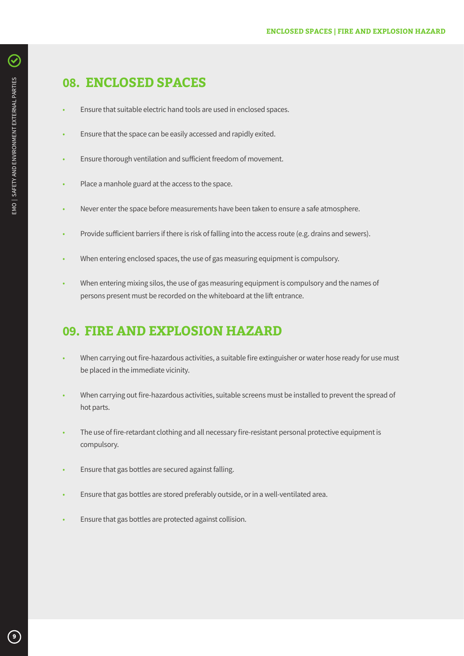## **08. ENCLOSED SPACES**

- Ensure that suitable electric hand tools are used in enclosed spaces.
- Ensure that the space can be easily accessed and rapidly exited.
- Ensure thorough ventilation and sufficient freedom of movement.
- Place a manhole guard at the access to the space.
- Never enter the space before measurements have been taken to ensure a safe atmosphere.
- Provide sufficient barriers if there is risk of falling into the access route (e.g. drains and sewers).
- When entering enclosed spaces, the use of gas measuring equipment is compulsory.
- When entering mixing silos, the use of gas measuring equipment is compulsory and the names of persons present must be recorded on the whiteboard at the lift entrance.

## **09. FIRE AND EXPLOSION HAZARD**

- When carrying out fire-hazardous activities, a suitable fire extinguisher or water hose ready for use must be placed in the immediate vicinity.
- When carrying out fire-hazardous activities, suitable screens must be installed to prevent the spread of hot parts.
- The use of fire-retardant clothing and all necessary fire-resistant personal protective equipment is compulsory.
- Ensure that gas bottles are secured against falling.
- Ensure that gas bottles are stored preferably outside, or in a well-ventilated area.
- Ensure that gas bottles are protected against collision.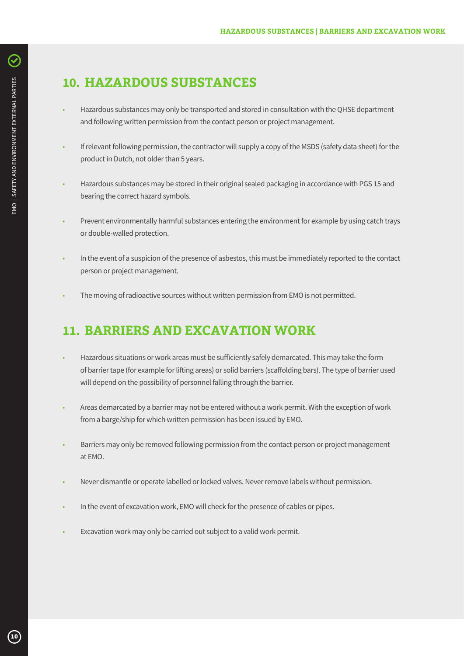## **10. HAZARDOUS SUBSTANCES**

- Hazardous substances may only be transported and stored in consultation with the QHSE department and following written permission from the contact person or project management.
- If relevant following permission, the contractor will supply a copy of the MSDS (safety data sheet) for the product in Dutch, not older than 5 years.
- Hazardous substances may be stored in their original sealed packaging in accordance with PGS 15 and bearing the correct hazard symbols.
- Prevent environmentally harmful substances entering the environment for example by using catch trays or double-walled protection.
- In the event of a suspicion of the presence of asbestos, this must be immediately reported to the contact person or project management.
- The moving of radioactive sources without written permission from EMO is not permitted.

## **11. BARRIERS AND EXCAVATION WORK**

- Hazardous situations or work areas must be sufficiently safely demarcated. This may take the form of barrier tape (for example for lifting areas) or solid barriers (scaffolding bars). The type of barrier used will depend on the possibility of personnel falling through the barrier.
- Areas demarcated by a barrier may not be entered without a work permit. With the exception of work from a barge/ship for which written permission has been issued by EMO.
- Barriers may only be removed following permission from the contact person or project management at EMO.
- Never dismantle or operate labelled or locked valves. Never remove labels without permission.
- In the event of excavation work, EMO will check for the presence of cables or pipes.
- Excavation work may only be carried out subject to a valid work permit.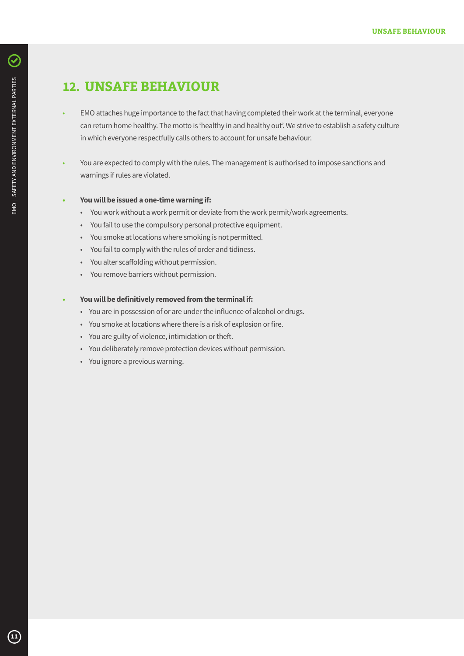## **12. UNSAFE BEHAVIOUR**

- EMO attaches huge importance to the fact that having completed their work at the terminal, everyone can return home healthy. The motto is 'healthy in and healthy out'. We strive to establish a safety culture in which everyone respectfully calls others to account for unsafe behaviour.
- You are expected to comply with the rules. The management is authorised to impose sanctions and warnings if rules are violated.

#### **• You will be issued a one-time warning if:**

- You work without a work permit or deviate from the work permit/work agreements.
- You fail to use the compulsory personal protective equipment.
- You smoke at locations where smoking is not permitted.
- You fail to comply with the rules of order and tidiness.
- You alter scaffolding without permission.
- You remove barriers without permission.

#### **• You will be definitively removed from the terminal if:**

- You are in possession of or are under the influence of alcohol or drugs.
- You smoke at locations where there is a risk of explosion or fire.
- You are guilty of violence, intimidation or theft.
- You deliberately remove protection devices without permission.
- You ignore a previous warning.

 $\boldsymbol{\mathcal{C}}$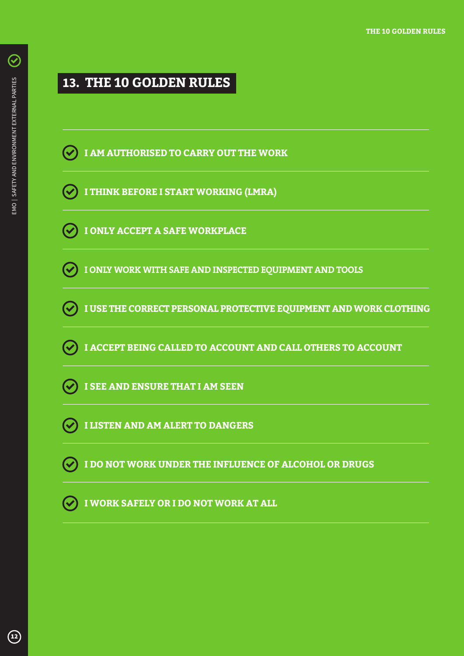$\bm{C}$ 

## **13. THE 10 GOLDEN RULES**



- **I THINK BEFORE I START WORKING (LMRA)**
- **I ONLY ACCEPT A SAFE WORKPLACE**
- **I ONLY WORK WITH SAFE AND INSPECTED EQUIPMENT AND TOOLS**
- **I USE THE CORRECT PERSONAL PROTECTIVE EQUIPMENT AND WORK CLOTHING**
- **I ACCEPT BEING CALLED TO ACCOUNT AND CALL OTHERS TO ACCOUNT**
- **I SEE AND ENSURE THAT I AM SEEN**
- **I LISTEN AND AM ALERT TO DANGERS**
- **I DO NOT WORK UNDER THE INFLUENCE OF ALCOHOL OR DRUGS**
- **I WORK SAFELY OR I DO NOT WORK AT ALL**  $\mathcal{L}$